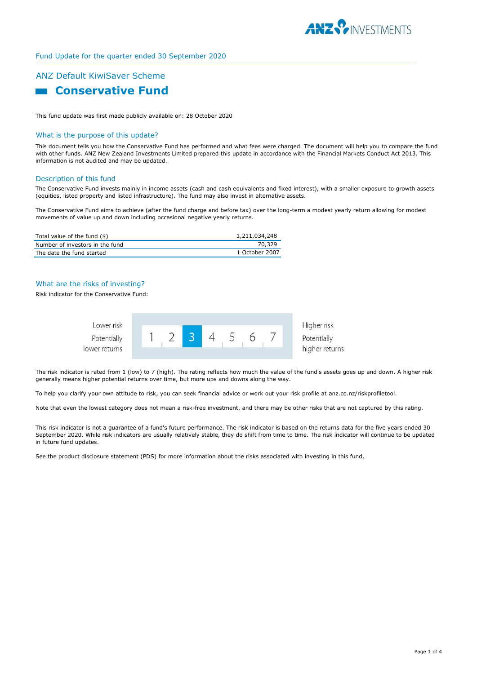

# Fund Update for the quarter ended 30 September 2020

# ANZ Default KiwiSaver Scheme

# **Conservative Fund**

This fund update was first made publicly available on: 28 October 2020

#### What is the purpose of this update?

This document tells you how the Conservative Fund has performed and what fees were charged. The document will help you to compare the fund with other funds. ANZ New Zealand Investments Limited prepared this update in accordance with the Financial Markets Conduct Act 2013. This information is not audited and may be updated.

#### Description of this fund

The Conservative Fund invests mainly in income assets (cash and cash equivalents and fixed interest), with a smaller exposure to growth assets (equities, listed property and listed infrastructure). The fund may also invest in alternative assets.

The Conservative Fund aims to achieve (after the fund charge and before tax) over the long-term a modest yearly return allowing for modest movements of value up and down including occasional negative yearly returns.

| Total value of the fund (\$)    | 1,211,034,248  |
|---------------------------------|----------------|
| Number of investors in the fund | 70.329         |
| The date the fund started       | 1 October 2007 |

# What are the risks of investing?

#### Risk indicator for the Conservative Fund:



The risk indicator is rated from 1 (low) to 7 (high). The rating reflects how much the value of the fund's assets goes up and down. A higher risk generally means higher potential returns over time, but more ups and downs along the way.

To help you clarify your own attitude to risk, you can seek financial advice or work out your risk profile at anz.co.nz/riskprofiletool.

Note that even the lowest category does not mean a risk-free investment, and there may be other risks that are not captured by this rating.

This risk indicator is not a guarantee of a fund's future performance. The risk indicator is based on the returns data for the five years ended 30 September 2020. While risk indicators are usually relatively stable, they do shift from time to time. The risk indicator will continue to be updated in future fund updates.

See the product disclosure statement (PDS) for more information about the risks associated with investing in this fund.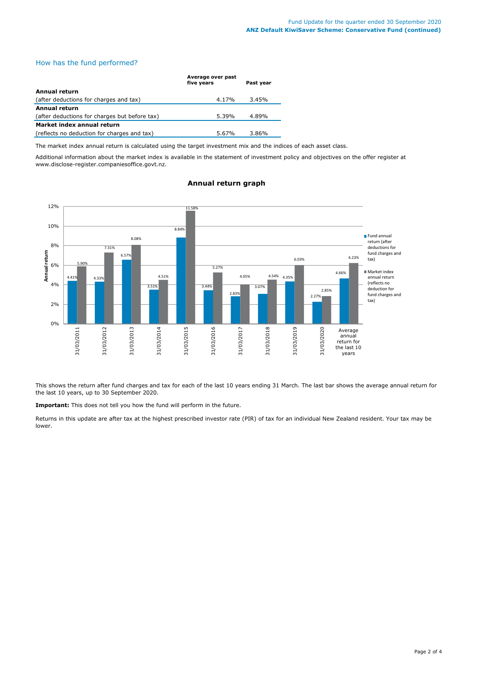# How has the fund performed?

|                                               | Average over past<br>five years | Past year |
|-----------------------------------------------|---------------------------------|-----------|
| Annual return                                 |                                 |           |
| (after deductions for charges and tax)        | 4.17%                           | 3.45%     |
| <b>Annual return</b>                          |                                 |           |
| (after deductions for charges but before tax) | 5.39%                           | 4.89%     |
| Market index annual return                    |                                 |           |
| (reflects no deduction for charges and tax)   | 5.67%                           | 3.86%     |

The market index annual return is calculated using the target investment mix and the indices of each asset class.

Additional information about the market index is available in the statement of investment policy and objectives on the offer register at www.disclose-register.companiesoffice.govt.nz.



# **Annual return graph**

This shows the return after fund charges and tax for each of the last 10 years ending 31 March. The last bar shows the average annual return for the last 10 years, up to 30 September 2020.

**Important:** This does not tell you how the fund will perform in the future.

Returns in this update are after tax at the highest prescribed investor rate (PIR) of tax for an individual New Zealand resident. Your tax may be lower.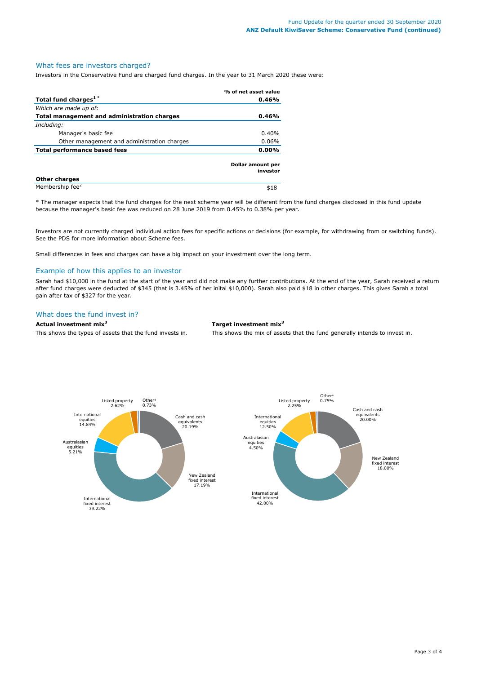# What fees are investors charged?

Investors in the Conservative Fund are charged fund charges. In the year to 31 March 2020 these were:

|                                             | % of net asset value          |  |
|---------------------------------------------|-------------------------------|--|
| Total fund charges <sup>1*</sup>            | 0.46%                         |  |
| Which are made up of:                       |                               |  |
| Total management and administration charges | 0.46%                         |  |
| Including:                                  |                               |  |
| Manager's basic fee                         | 0.40%                         |  |
| Other management and administration charges | $0.06\%$                      |  |
| <b>Total performance based fees</b>         | 0.00%                         |  |
|                                             | Dollar amount per<br>investor |  |
| <b>Other charges</b>                        |                               |  |
| Membership fee <sup>2</sup>                 | \$18                          |  |

\* The manager expects that the fund charges for the next scheme year will be different from the fund charges disclosed in this fund update because the manager's basic fee was reduced on 28 June 2019 from 0.45% to 0.38% per year.

Investors are not currently charged individual action fees for specific actions or decisions (for example, for withdrawing from or switching funds). See the PDS for more information about Scheme fees.

Small differences in fees and charges can have a big impact on your investment over the long term.

# Example of how this applies to an investor

Sarah had \$10,000 in the fund at the start of the year and did not make any further contributions. At the end of the year, Sarah received a return after fund charges were deducted of \$345 (that is 3.45% of her inital \$10,000). Sarah also paid \$18 in other charges. This gives Sarah a total gain after tax of \$327 for the year.

# What does the fund invest in?

# **Actual investment mix<sup>3</sup> Target investment mix<sup>3</sup>**

This shows the types of assets that the fund invests in. This shows the mix of assets that the fund generally intends to invest in.